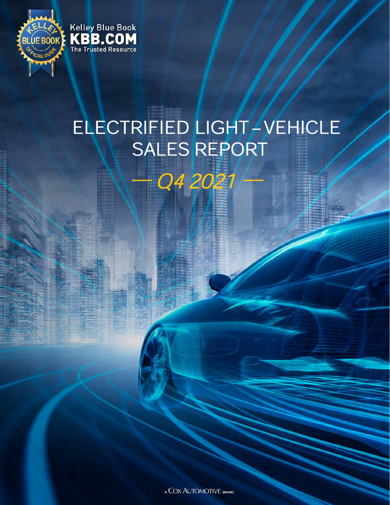

## ELECTRIFIED LIGHT / VEHICLE SALES REPORT

Q4 2021

A COX AUTOMOTIVE BRAND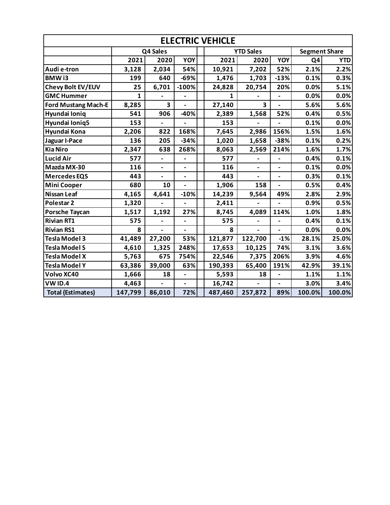| <b>ELECTRIC VEHICLE</b>    |              |                          |                              |  |         |                              |                              |        |            |
|----------------------------|--------------|--------------------------|------------------------------|--|---------|------------------------------|------------------------------|--------|------------|
|                            | Q4 Sales     |                          |                              |  |         | <b>YTD Sales</b>             | <b>Segment Share</b>         |        |            |
|                            | 2021         | 2020                     | YOY                          |  | 2021    | 2020                         | YOY                          | Q4     | <b>YTD</b> |
| Audi e-tron                | 3,128        | 2,034                    | 54%                          |  | 10,921  | 7,202                        | 52%                          | 2.1%   | 2.2%       |
| <b>BMWi3</b>               | 199          | 640                      | $-69%$                       |  | 1,476   | 1,703                        | $-13%$                       | 0.1%   | 0.3%       |
| Chevy Bolt EV/EUV          | 25           | 6,701                    | $-100%$                      |  | 24,828  | 20,754                       | 20%                          | 0.0%   | 5.1%       |
| <b>GMC Hummer</b>          | $\mathbf{1}$ |                          |                              |  | 1       |                              |                              | 0.0%   | 0.0%       |
| <b>Ford Mustang Mach-E</b> | 8,285        | 3                        |                              |  | 27,140  | 3                            |                              | 5.6%   | 5.6%       |
| Hyundai Ioniq              | 541          | 906                      | $-40%$                       |  | 2,389   | 1,568                        | 52%                          | 0.4%   | 0.5%       |
| Hyundai Ioniq5             | 153          |                          |                              |  | 153     |                              |                              | 0.1%   | 0.0%       |
| Hyundai Kona               | 2,206        | 822                      | 168%                         |  | 7,645   | 2,986                        | 156%                         | 1.5%   | 1.6%       |
| Jaguar I-Pace              | 136          | 205                      | $-34%$                       |  | 1,020   | 1,658                        | $-38%$                       | 0.1%   | 0.2%       |
| <b>Kia Niro</b>            | 2,347        | 638                      | 268%                         |  | 8,063   | 2,569                        | 214%                         | 1.6%   | 1.7%       |
| <b>Lucid Air</b>           | 577          | $\blacksquare$           | $\qquad \qquad \blacksquare$ |  | 577     |                              |                              | 0.4%   | 0.1%       |
| Mazda MX-30                | 116          | $\overline{\phantom{a}}$ | $\overline{\phantom{0}}$     |  | 116     | $\overline{\phantom{a}}$     | $\overline{\phantom{0}}$     | 0.1%   | 0.0%       |
| <b>Mercedes EQS</b>        | 443          | $\overline{\phantom{a}}$ | $\overline{\phantom{0}}$     |  | 443     | $\qquad \qquad \blacksquare$ | $\qquad \qquad \blacksquare$ | 0.3%   | 0.1%       |
| <b>Mini Cooper</b>         | 680          | 10                       |                              |  | 1,906   | 158                          | $\overline{a}$               | 0.5%   | 0.4%       |
| <b>Nissan Leaf</b>         | 4,165        | 4,641                    | $-10%$                       |  | 14,239  | 9,564                        | 49%                          | 2.8%   | 2.9%       |
| Polestar <sub>2</sub>      | 1,320        |                          |                              |  | 2,411   |                              |                              | 0.9%   | 0.5%       |
| <b>Porsche Taycan</b>      | 1,517        | 1,192                    | 27%                          |  | 8,745   | 4,089                        | 114%                         | 1.0%   | 1.8%       |
| <b>Rivian RT1</b>          | 575          |                          | $\overline{\phantom{0}}$     |  | 575     |                              |                              | 0.4%   | 0.1%       |
| <b>Rivian RS1</b>          | 8            |                          |                              |  | 8       |                              |                              | 0.0%   | 0.0%       |
| <b>Tesla Model 3</b>       | 41,489       | 27,200                   | 53%                          |  | 121,877 | 122,700                      | $-1%$                        | 28.1%  | 25.0%      |
| <b>Tesla Model S</b>       | 4,610        | 1,325                    | 248%                         |  | 17,653  | 10,125                       | 74%                          | 3.1%   | 3.6%       |
| <b>Tesla Model X</b>       | 5,763        | 675                      | 754%                         |  | 22,546  | 7,375                        | 206%                         | 3.9%   | 4.6%       |
| <b>Tesla Model Y</b>       | 63,386       | 39,000                   | 63%                          |  | 190,393 | 65,400                       | 191%                         | 42.9%  | 39.1%      |
| Volvo XC40                 | 1,666        | 18                       |                              |  | 5,593   | 18                           |                              | 1.1%   | 1.1%       |
| <b>VWID.4</b>              | 4,463        |                          |                              |  | 16,742  |                              |                              | 3.0%   | 3.4%       |
| <b>Total (Estimates)</b>   | 147,799      | 86,010                   | 72%                          |  | 487,460 | 257,872                      | 89%                          | 100.0% | 100.0%     |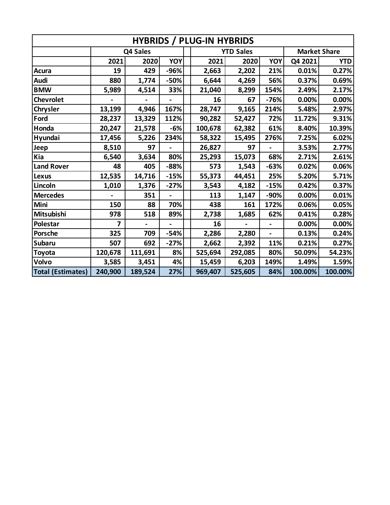| <b>HYBRIDS / PLUG-IN HYBRIDS</b> |          |         |        |  |         |                  |                     |         |            |  |
|----------------------------------|----------|---------|--------|--|---------|------------------|---------------------|---------|------------|--|
|                                  | Q4 Sales |         |        |  |         | <b>YTD Sales</b> | <b>Market Share</b> |         |            |  |
|                                  | 2021     | 2020    | YOY    |  | 2021    | 2020             | YOY                 | Q4 2021 | <b>YTD</b> |  |
| <b>Acura</b>                     | 19       | 429     | -96%   |  | 2,663   | 2,202            | 21%                 | 0.01%   | 0.27%      |  |
| Audi                             | 880      | 1,774   | $-50%$ |  | 6,644   | 4,269            | 56%                 | 0.37%   | 0.69%      |  |
| <b>BMW</b>                       | 5,989    | 4,514   | 33%    |  | 21,040  | 8,299            | 154%                | 2.49%   | 2.17%      |  |
| <b>Chevrolet</b>                 |          |         |        |  | 16      | 67               | $-76%$              | 0.00%   | 0.00%      |  |
| <b>Chrysler</b>                  | 13,199   | 4,946   | 167%   |  | 28,747  | 9,165            | 214%                | 5.48%   | 2.97%      |  |
| Ford                             | 28,237   | 13,329  | 112%   |  | 90,282  | 52,427           | 72%                 | 11.72%  | 9.31%      |  |
| Honda                            | 20,247   | 21,578  | -6%    |  | 100,678 | 62,382           | 61%                 | 8.40%   | 10.39%     |  |
| Hyundai                          | 17,456   | 5,226   | 234%   |  | 58,322  | 15,495           | 276%                | 7.25%   | 6.02%      |  |
| Jeep                             | 8,510    | 97      |        |  | 26,827  | 97               |                     | 3.53%   | 2.77%      |  |
| Kia                              | 6,540    | 3,634   | 80%    |  | 25,293  | 15,073           | 68%                 | 2.71%   | 2.61%      |  |
| <b>Land Rover</b>                | 48       | 405     | $-88%$ |  | 573     | 1,543            | $-63%$              | 0.02%   | 0.06%      |  |
| Lexus                            | 12,535   | 14,716  | $-15%$ |  | 55,373  | 44,451           | 25%                 | 5.20%   | 5.71%      |  |
| Lincoln                          | 1,010    | 1,376   | $-27%$ |  | 3,543   | 4,182            | $-15%$              | 0.42%   | 0.37%      |  |
| <b>Mercedes</b>                  |          | 351     |        |  | 113     | 1,147            | -90%                | 0.00%   | 0.01%      |  |
| Mini                             | 150      | 88      | 70%    |  | 438     | 161              | 172%                | 0.06%   | 0.05%      |  |
| Mitsubishi                       | 978      | 518     | 89%    |  | 2,738   | 1,685            | 62%                 | 0.41%   | 0.28%      |  |
| Polestar                         | 7        |         |        |  | 16      |                  |                     | 0.00%   | 0.00%      |  |
| <b>Porsche</b>                   | 325      | 709     | -54%   |  | 2,286   | 2,280            | L.                  | 0.13%   | 0.24%      |  |
| Subaru                           | 507      | 692     | $-27%$ |  | 2,662   | 2,392            | 11%                 | 0.21%   | 0.27%      |  |
| Toyota                           | 120,678  | 111,691 | 8%     |  | 525,694 | 292,085          | 80%                 | 50.09%  | 54.23%     |  |
| Volvo                            | 3,585    | 3,451   | 4%     |  | 15,459  | 6,203            | 149%                | 1.49%   | 1.59%      |  |
| <b>Total (Estimates)</b>         | 240,900  | 189,524 | 27%    |  | 969,407 | 525,605          | 84%                 | 100.00% | 100.00%    |  |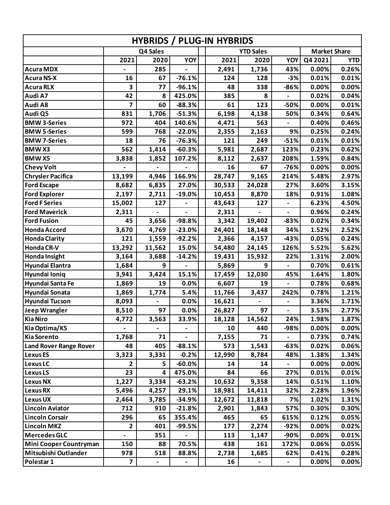| <b>HYBRIDS / PLUG-IN HYBRIDS</b> |                              |                              |                          |        |                  |                              |                     |            |  |  |
|----------------------------------|------------------------------|------------------------------|--------------------------|--------|------------------|------------------------------|---------------------|------------|--|--|
|                                  |                              | Q4 Sales                     |                          |        | <b>YTD Sales</b> |                              | <b>Market Share</b> |            |  |  |
|                                  | 2021                         | 2020                         | <b>YOY</b>               | 2021   | 2020             | YOY                          | Q4 2021             | <b>YTD</b> |  |  |
| <b>Acura MDX</b>                 |                              | 285                          |                          | 2,491  | 1,736            | 43%                          | 0.00%               | 0.26%      |  |  |
| <b>Acura NS-X</b>                | 16                           | 67                           | $-76.1%$                 | 124    | 128              | $-3%$                        | 0.01%               | 0.01%      |  |  |
| <b>Acura RLX</b>                 | 3                            | 77                           | $-96.1%$                 | 48     | 338              | $-86%$                       | 0.00%               | 0.00%      |  |  |
| Audi A7                          | 42                           | 8                            | 425.0%                   | 385    | 8                |                              | 0.02%               | 0.04%      |  |  |
| Audi A8                          | $\overline{7}$               | 60                           | $-88.3%$                 | 61     | 123              | $-50%$                       | 0.00%               | 0.01%      |  |  |
| Audi Q5                          | 831                          | 1,706                        | $-51.3%$                 | 6,198  | 4,138            | 50%                          | 0.34%               | 0.64%      |  |  |
| <b>BMW 3-Series</b>              | 972                          | 404                          | 140.6%                   | 4,471  | 563              |                              | 0.40%               | 0.46%      |  |  |
| <b>BMW 5-Series</b>              | 599                          | 768                          | $-22.0%$                 | 2,355  | 2,163            | 9%                           | 0.25%               | 0.24%      |  |  |
| <b>BMW 7-Series</b>              | 18                           | 76                           | $-76.3%$                 | 121    | 249              | $-51%$                       | 0.01%               | 0.01%      |  |  |
| <b>BMWX3</b>                     | 562                          | 1,414                        | $-60.3%$                 | 5,981  | 2,687            | 123%                         | 0.23%               | 0.62%      |  |  |
| <b>BMWX5</b>                     | 3,838                        | 1,852                        | 107.2%                   | 8,112  | 2,637            | 208%                         | 1.59%               | 0.84%      |  |  |
| <b>Chevy Volt</b>                |                              |                              |                          | 16     | 67               | $-76%$                       | 0.00%               | 0.00%      |  |  |
| <b>Chrysler Pacifica</b>         | 13,199                       | 4,946                        | 166.9%                   | 28,747 | 9,165            | 214%                         | 5.48%               | 2.97%      |  |  |
| <b>Ford Escape</b>               | 8,682                        | 6,835                        | 27.0%                    | 30,533 | 24,028           | 27%                          | 3.60%               | 3.15%      |  |  |
| <b>Ford Explorer</b>             | 2,197                        | 2,711                        | $-19.0%$                 | 10,453 | 8,870            | 18%                          | 0.91%               | 1.08%      |  |  |
| <b>Ford F Series</b>             | 15,002                       | 127                          |                          | 43,643 | 127              | $\qquad \qquad \blacksquare$ | 6.23%               | 4.50%      |  |  |
| <b>Ford Maverick</b>             | 2,311                        |                              |                          | 2,311  |                  |                              | 0.96%               | 0.24%      |  |  |
| <b>Ford Fusion</b>               | 45                           | 3,656                        | -98.8%                   | 3,342  | 19,402           | $-83%$                       | 0.02%               | 0.34%      |  |  |
| <b>Honda Accord</b>              | 3,670                        | 4,769                        | $-23.0%$                 | 24,401 | 18,148           | 34%                          | 1.52%               | 2.52%      |  |  |
| <b>Honda Clarity</b>             | 121                          | 1,559                        | $-92.2%$                 | 2,366  | 4,157            | $-43%$                       | 0.05%               | 0.24%      |  |  |
| <b>Honda CR-V</b>                | 13,292                       | 11,562                       | 15.0%                    | 54,480 | 24,145           | 126%                         | 5.52%               | 5.62%      |  |  |
| Honda Insight                    | 3,164                        | 3,688                        | $-14.2%$                 | 19,431 | 15,932           | 22%                          | 1.31%               | 2.00%      |  |  |
| Hyundai Elantra                  | 1,684                        | 9                            |                          | 5,869  | 9                |                              | 0.70%               | 0.61%      |  |  |
| Hyundai Ioniq                    | 3,941                        | 3,424                        | 15.1%                    | 17,459 | 12,030           | 45%                          | 1.64%               | 1.80%      |  |  |
| Hyundai Santa Fe                 | 1,869                        | 19                           | 0.0%                     | 6,607  | 19               |                              | 0.78%               | 0.68%      |  |  |
| Hyundai Sonata                   | 1,869                        | 1,774                        | 5.4%                     | 11,766 | 3,437            | 242%                         | 0.78%               | 1.21%      |  |  |
| <b>Hyundai Tucson</b>            | 8,093                        |                              | 0.0%                     | 16,621 |                  | $\qquad \qquad \blacksquare$ | 3.36%               | 1.71%      |  |  |
| <b>Jeep Wrangler</b>             | 8,510                        | 97                           | 0.0%                     | 26,827 | 97               |                              | 3.53%               | 2.77%      |  |  |
| <b>Kia Niro</b>                  | 4,772                        | 3,563                        | 33.9%                    | 18,128 | 14,562           | 24%                          | 1.98%               | 1.87%      |  |  |
| Kia Optima/K5                    | $\qquad \qquad \blacksquare$ |                              | $\overline{\phantom{a}}$ | 10     | 440              | -98%                         | 0.00%               | 0.00%      |  |  |
| <b>Kia Sorento</b>               | 1,768                        | 71                           |                          | 7,155  | 71               |                              | 0.73%               | 0.74%      |  |  |
| <b>Land Rover Range Rover</b>    | 48                           | 405                          | $-88.1%$                 | 573    | 1,543            | $-63%$                       | 0.02%               | 0.06%      |  |  |
| <b>Lexus ES</b>                  | 3,323                        | 3,331                        | $-0.2%$                  | 12,990 | 8,784            | 48%                          | 1.38%               | 1.34%      |  |  |
| <b>Lexus LC</b>                  | 2                            | 5                            | $-60.0%$                 | 14     | 14               |                              | 0.00%               | 0.00%      |  |  |
| <b>Lexus LS</b>                  | 23                           | 4                            | 475.0%                   | 84     | 66               | 27%                          | 0.01%               | 0.01%      |  |  |
| <b>Lexus NX</b>                  | 1,227                        | 3,334                        | $-63.2%$                 | 10,632 | 9,358            | 14%                          | 0.51%               | 1.10%      |  |  |
| Lexus RX                         | 5,496                        | 4,257                        | 29.1%                    | 18,981 | 14,411           | 32%                          | 2.28%               | 1.96%      |  |  |
| Lexus UX                         | 2,464                        | 3,785                        | $-34.9%$                 | 12,672 | 11,818           | 7%                           | 1.02%               | 1.31%      |  |  |
| <b>Lincoln Aviator</b>           | 712                          | 910                          | $-21.8%$                 | 2,901  | 1,843            | 57%                          | 0.30%               | 0.30%      |  |  |
| <b>Lincoln Corsair</b>           | 296                          | 65                           | 355.4%                   | 465    | 65               | 615%                         | 0.12%               | 0.05%      |  |  |
| <b>Lincoln MKZ</b>               | $\mathbf{2}$                 | 401                          | $-99.5%$                 | 177    | 2,274            | $-92%$                       | 0.00%               | 0.02%      |  |  |
| <b>Mercedes GLC</b>              | $\qquad \qquad \blacksquare$ | 351                          |                          | 113    | 1,147            | -90%                         | 0.00%               | 0.01%      |  |  |
| <b>Mini Cooper Countryman</b>    | 150                          | 88                           | 70.5%                    | 438    | 161              | 172%                         | 0.06%               | 0.05%      |  |  |
| Mitsubishi Outlander             | 978                          | 518                          | 88.8%                    | 2,738  | 1,685            | 62%                          | 0.41%               | 0.28%      |  |  |
| Polestar 1                       | $\overline{\mathbf{z}}$      | $\qquad \qquad \blacksquare$ |                          | 16     |                  | $\qquad \qquad \blacksquare$ | 0.00%               | 0.00%      |  |  |